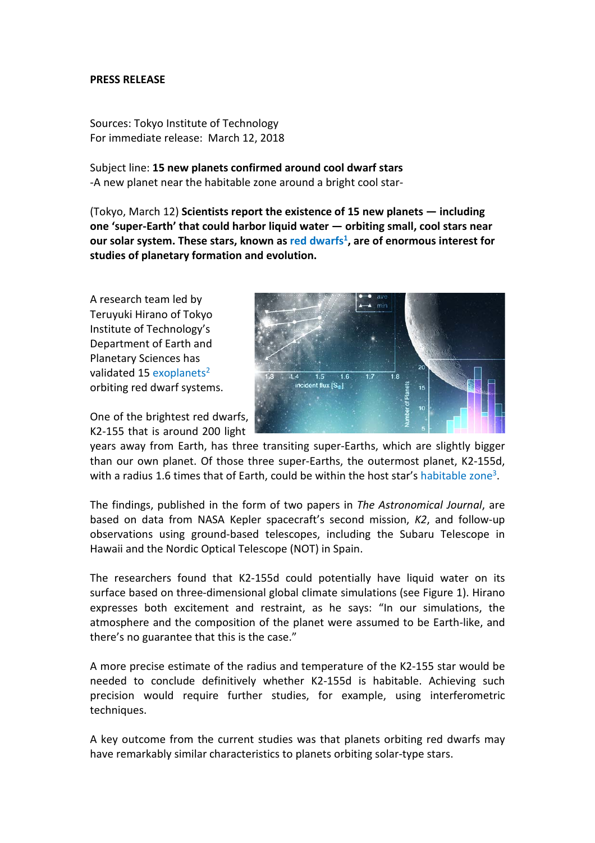# **PRESS RELEASE**

Sources: Tokyo Institute of Technology For immediate release: March 12, 2018

Subject line: **15 new planets confirmed around cool dwarf stars** -A new planet near the habitable zone around a bright cool star-

(Tokyo, March 12) **Scientists report the existence of 15 new planets — including one 'super-Earth' that could harbor liquid water — orbiting small, cool stars near our solar system. These stars, known as red dwarfs1, are of enormous interest for studies of planetary formation and evolution.** 

A research team led by Teruyuki Hirano of Tokyo Institute of Technology's Department of Earth and Planetary Sciences has validated 15 exoplanets<sup>2</sup> orbiting red dwarf systems.

One of the brightest red dwarfs, K2-155 that is around 200 light



years away from Earth, has three transiting super-Earths, which are slightly bigger than our own planet. Of those three super-Earths, the outermost planet, K2-155d, with a radius 1.6 times that of Earth, could be within the host star's habitable zone<sup>3</sup>.

The findings, published in the form of two papers in *The Astronomical Journal*, are based on data from NASA Kepler spacecraft's second mission, *K2*, and follow-up observations using ground-based telescopes, including the Subaru Telescope in Hawaii and the Nordic Optical Telescope (NOT) in Spain.

The researchers found that K2-155d could potentially have liquid water on its surface based on three-dimensional global climate simulations (see Figure 1). Hirano expresses both excitement and restraint, as he says: "In our simulations, the atmosphere and the composition of the planet were assumed to be Earth-like, and there's no guarantee that this is the case."

A more precise estimate of the radius and temperature of the K2-155 star would be needed to conclude definitively whether K2-155d is habitable. Achieving such precision would require further studies, for example, using interferometric techniques.

A key outcome from the current studies was that planets orbiting red dwarfs may have remarkably similar characteristics to planets orbiting solar-type stars.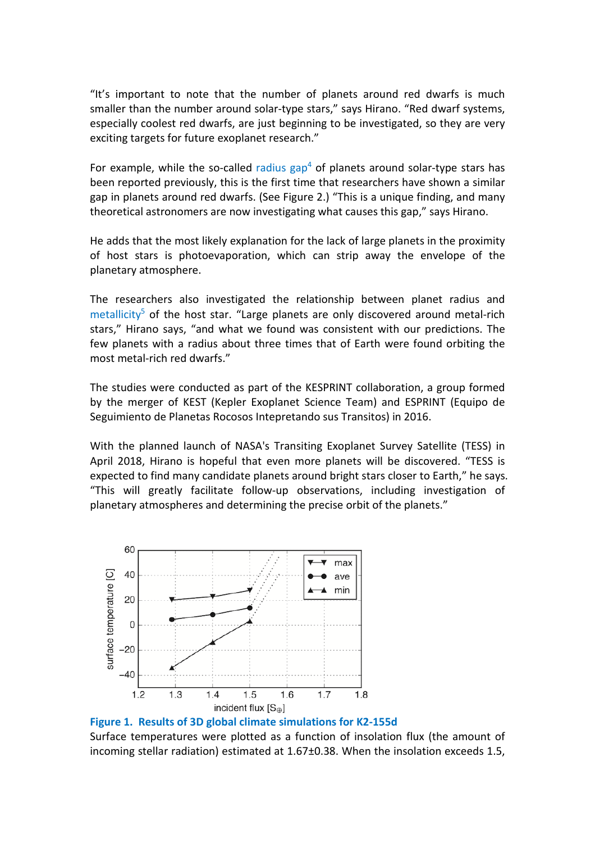"It's important to note that the number of planets around red dwarfs is much smaller than the number around solar-type stars," says Hirano. "Red dwarf systems, especially coolest red dwarfs, are just beginning to be investigated, so they are very exciting targets for future exoplanet research."

For example, while the so-called radius  $\text{gap}^4$  of planets around solar-type stars has been reported previously, this is the first time that researchers have shown a similar gap in planets around red dwarfs. (See Figure 2.) "This is a unique finding, and many theoretical astronomers are now investigating what causes this gap," says Hirano.

He adds that the most likely explanation for the lack of large planets in the proximity of host stars is photoevaporation, which can strip away the envelope of the planetary atmosphere.

The researchers also investigated the relationship between planet radius and  $metalicity<sup>5</sup>$  of the host star. "Large planets are only discovered around metal-rich stars," Hirano says, "and what we found was consistent with our predictions. The few planets with a radius about three times that of Earth were found orbiting the most metal-rich red dwarfs."

The studies were conducted as part of the KESPRINT collaboration, a group formed by the merger of KEST (Kepler Exoplanet Science Team) and ESPRINT (Equipo de Seguimiento de Planetas Rocosos Intepretando sus Transitos) in 2016.

With the planned launch of NASA's Transiting Exoplanet Survey Satellite (TESS) in April 2018, Hirano is hopeful that even more planets will be discovered. "TESS is expected to find many candidate planets around bright stars closer to Earth," he says. "This will greatly facilitate follow-up observations, including investigation of planetary atmospheres and determining the precise orbit of the planets."



**Figure 1. Results of 3D global climate simulations for K2-155d**

Surface temperatures were plotted as a function of insolation flux (the amount of incoming stellar radiation) estimated at 1.67±0.38. When the insolation exceeds 1.5,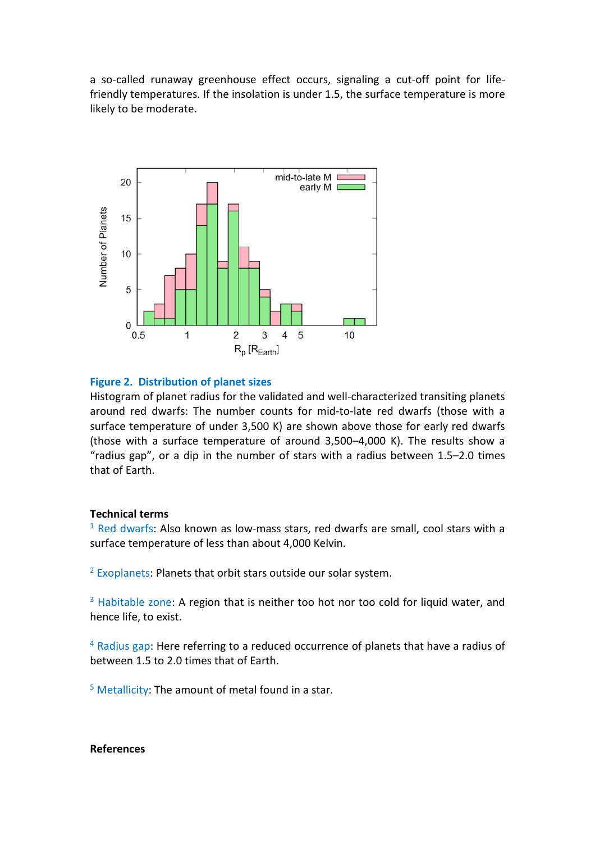a so-called runaway greenhouse effect occurs, signaling a cut-off point for lifefriendly temperatures. If the insolation is under 1.5, the surface temperature is more likely to be moderate.



## **Figure 2. Distribution of planet sizes**

Histogram of planet radius for the validated and well-characterized transiting planets around red dwarfs: The number counts for mid-to-late red dwarfs (those with a surface temperature of under 3,500 K) are shown above those for early red dwarfs (those with a surface temperature of around 3,500–4,000 K). The results show a "radius gap", or a dip in the number of stars with a radius between 1.5–2.0 times that of Earth.

## **Technical terms**

 $1$  Red dwarfs: Also known as low-mass stars, red dwarfs are small, cool stars with a surface temperature of less than about 4,000 Kelvin.

<sup>2</sup> Exoplanets: Planets that orbit stars outside our solar system.

<sup>3</sup> Habitable zone: A region that is neither too hot nor too cold for liquid water, and hence life, to exist.

<sup>4</sup> Radius gap: Here referring to a reduced occurrence of planets that have a radius of between 1.5 to 2.0 times that of Earth.

 $5$  Metallicity: The amount of metal found in a star.

# **References**